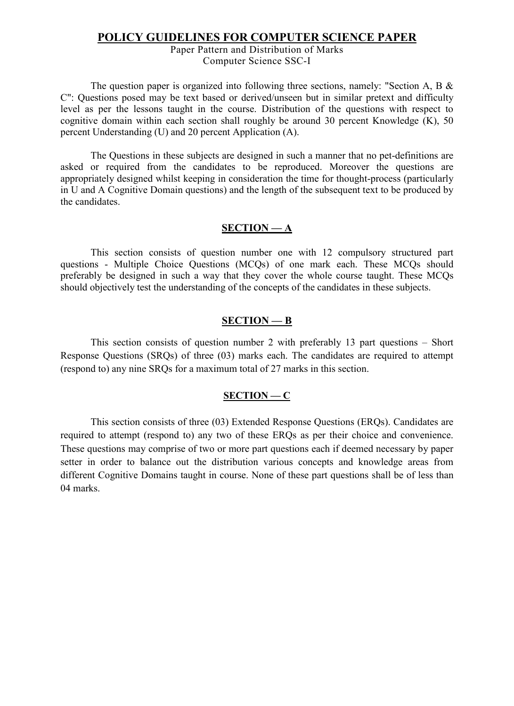#### **POLICY GUIDELINES FOR COMPUTER SCIENCE PAPER**

#### Paper Pattern and Distribution of Marks Computer Science SSC-I

The question paper is organized into following three sections, namely: "Section A, B & C": Questions posed may be text based or derived/unseen but in similar pretext and difficulty level as per the lessons taught in the course. Distribution of the questions with respect to cognitive domain within each section shall roughly be around 30 percent Knowledge (K), 50 percent Understanding (U) and 20 percent Application (A).

The Questions in these subjects are designed in such a manner that no pet-definitions are asked or required from the candidates to be reproduced. Moreover the questions are appropriately designed whilst keeping in consideration the time for thought-process (particularly in U and A Cognitive Domain questions) and the length of the subsequent text to be produced by the candidates.

#### **SECTION — A**

This section consists of question number one with 12 compulsory structured part questions - Multiple Choice Questions (MCQs) of one mark each. These MCQs should preferably be designed in such a way that they cover the whole course taught. These MCQs should objectively test the understanding of the concepts of the candidates in these subjects.

#### **SECTION — B**

This section consists of question number 2 with preferably 13 part questions – Short Response Questions (SRQs) of three (03) marks each. The candidates are required to attempt (respond to) any nine SRQs for a maximum total of 27 marks in this section.

#### **SECTION — C**

This section consists of three (03) Extended Response Questions (ERQs). Candidates are required to attempt (respond to) any two of these ERQs as per their choice and convenience. These questions may comprise of two or more part questions each if deemed necessary by paper setter in order to balance out the distribution various concepts and knowledge areas from different Cognitive Domains taught in course. None of these part questions shall be of less than 04 marks.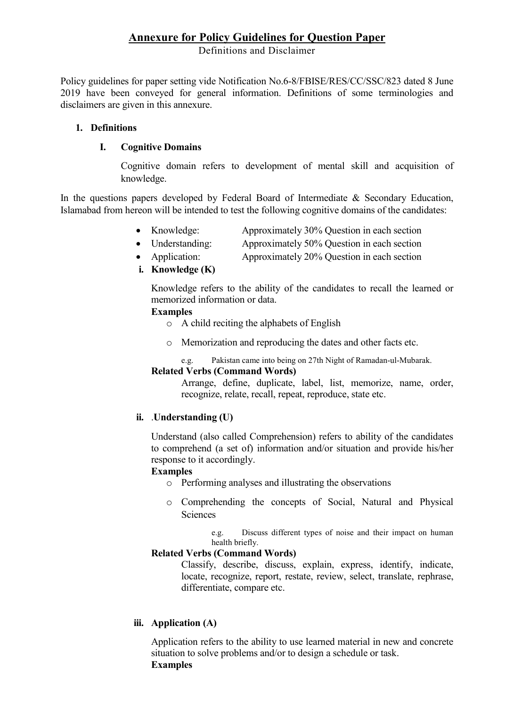### **Annexure for Policy Guidelines for Question Paper**

Definitions and Disclaimer

Policy guidelines for paper setting vide Notification No.6-8/FBISE/RES/CC/SSC/823 dated 8 June 2019 have been conveyed for general information. Definitions of some terminologies and disclaimers are given in this annexure.

#### **1. Definitions**

#### **I. Cognitive Domains**

Cognitive domain refers to development of mental skill and acquisition of knowledge.

In the questions papers developed by Federal Board of Intermediate & Secondary Education, Islamabad from hereon will be intended to test the following cognitive domains of the candidates:

- Knowledge: Approximately 30% Question in each section
- Understanding: Approximately 50% Question in each section
- Application: Approximately 20% Question in each section
- **i. Knowledge (K)**

Knowledge refers to the ability of the candidates to recall the learned or memorized information or data.

#### **Examples**

- o A child reciting the alphabets of English
- o Memorization and reproducing the dates and other facts etc.
	- e.g. Pakistan came into being on 27th Night of Ramadan-ul-Mubarak.

#### **Related Verbs (Command Words)**

Arrange, define, duplicate, label, list, memorize, name, order, recognize, relate, recall, repeat, reproduce, state etc.

#### **ii.** .**Understanding (U)**

Understand (also called Comprehension) refers to ability of the candidates to comprehend (a set of) information and/or situation and provide his/her response to it accordingly.

#### **Examples**

- o Performing analyses and illustrating the observations
- o Comprehending the concepts of Social, Natural and Physical Sciences

e.g. Discuss different types of noise and their impact on human health briefly.

#### **Related Verbs (Command Words)**

Classify, describe, discuss, explain, express, identify, indicate, locate, recognize, report, restate, review, select, translate, rephrase, differentiate, compare etc.

#### **iii. Application (A)**

Application refers to the ability to use learned material in new and concrete situation to solve problems and/or to design a schedule or task. **Examples**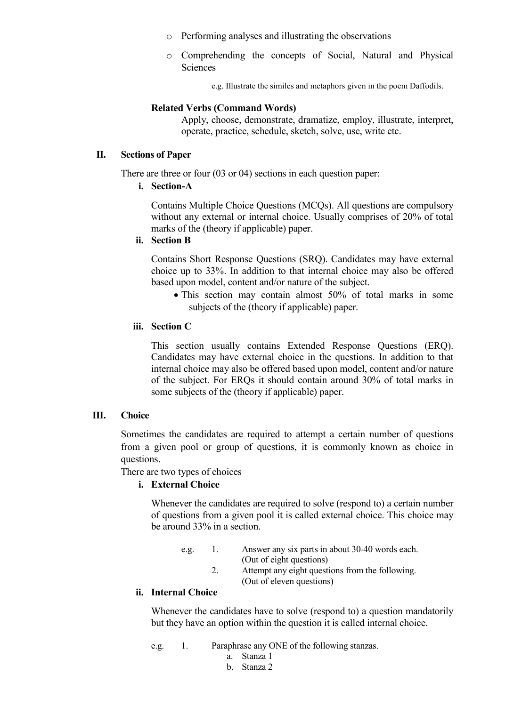- o Performing analyses and illustrating the observations
- o Comprehending the concepts of Social, Natural and Physical **Sciences**

e.g. Illustrate the similes and metaphors given in the poem Daffodils.

#### **Related Verbs (Command Words)**

Apply, choose, demonstrate, dramatize, employ, illustrate, interpret, operate, practice, schedule, sketch, solve, use, write etc.

#### **II. Sections of Paper**

There are three or four (03 or 04) sections in each question paper:

**i. Section-A** 

Contains Multiple Choice Questions (MCQs). All questions are compulsory without any external or internal choice. Usually comprises of 20% of total marks of the (theory if applicable) paper.

#### **ii. Section B**

Contains Short Response Questions (SRQ). Candidates may have external choice up to 33%. In addition to that internal choice may also be offered based upon model, content and/or nature of the subject.

• This section may contain almost 50% of total marks in some subjects of the (theory if applicable) paper.

#### **iii. Section C**

This section usually contains Extended Response Questions (ERQ). Candidates may have external choice in the questions. In addition to that internal choice may also be offered based upon model, content and/or nature of the subject. For ERQs it should contain around 30% of total marks in some subjects of the (theory if applicable) paper.

#### **III. Choice**

Sometimes the candidates are required to attempt a certain number of questions from a given pool or group of questions, it is commonly known as choice in questions.

There are two types of choices

#### **i. External Choice**

Whenever the candidates are required to solve (respond to) a certain number of questions from a given pool it is called external choice. This choice may be around 33% in a section.

e.g. 1. Answer any six parts in about 30-40 words each. (Out of eight questions) 2. Attempt any eight questions from the following. (Out of eleven questions)

#### **ii. Internal Choice**

Whenever the candidates have to solve (respond to) a question mandatorily but they have an option within the question it is called internal choice.

e.g. 1. Paraphrase any ONE of the following stanzas.

- a. Stanza 1
- b. Stanza 2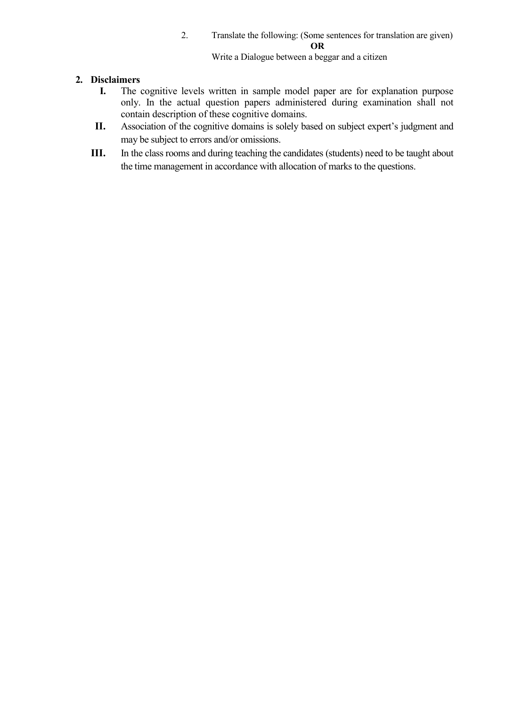#### 2. Translate the following: (Some sentences for translation are given) **OR**

Write a Dialogue between a beggar and a citizen

# **2. Disclaimers**

- The cognitive levels written in sample model paper are for explanation purpose only. In the actual question papers administered during examination shall not contain description of these cognitive domains.
- **II.** Association of the cognitive domains is solely based on subject expert's judgment and may be subject to errors and/or omissions.
- **III.** In the class rooms and during teaching the candidates (students) need to be taught about the time management in accordance with allocation of marks to the questions.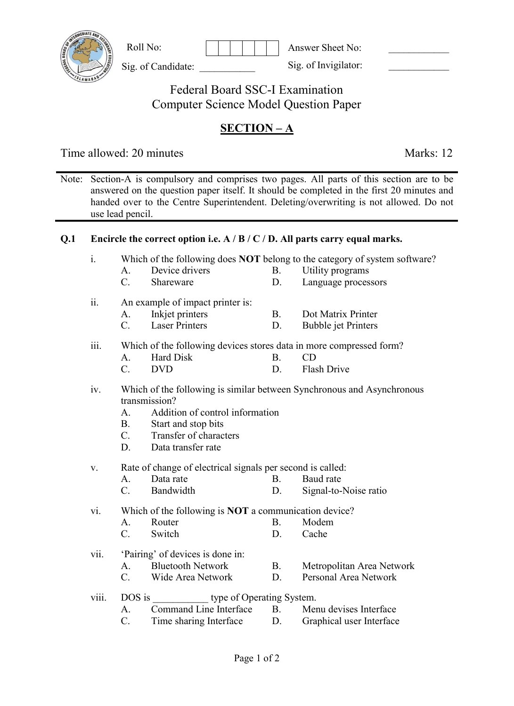| Roll No: |  |
|----------|--|
|          |  |

Sig. of Candidate:

Answer Sheet No: \_\_\_\_\_\_\_\_\_\_\_\_ Sig. of Invigilator:

Federal Board SSC-I Examination Computer Science Model Question Paper

# **SECTION – A**

Time allowed: 20 minutes Marks: 12

Note: Section-A is compulsory and comprises two pages. All parts of this section are to be answered on the question paper itself. It should be completed in the first 20 minutes and handed over to the Centre Superintendent. Deleting/overwriting is not allowed. Do not use lead pencil.

### **Q.1 Encircle the correct option i.e. A / B / C / D. All parts carry equal marks.**

|  |  | Which of the following does <b>NOT</b> belong to the category of system software? |  |  |  |  |  |
|--|--|-----------------------------------------------------------------------------------|--|--|--|--|--|
|  |  |                                                                                   |  |  |  |  |  |

- A. Device drivers B. Utility programs
	- C. Shareware D. Language processors
- ii. An example of impact printer is:
	- A. Inkjet printers B. Dot Matrix Printer C. Laser Printers D. Bubble jet Printers
	-

# iii. Which of the following devices stores data in more compressed form?

- A. Hard Disk B. CD C. DVD D. Flash Drive
- iv. Which of the following is similar between Synchronous and Asynchronous transmission?
	- A. Addition of control information
	- B. Start and stop bits
	- C. Transfer of characters
	- D. Data transfer rate
- v. Rate of change of electrical signals per second is called:
	- A. Data rate B. Baud rate
	- C. Bandwidth D. Signal-to-Noise ratio

vi. Which of the following is **NOT** a communication device?

- A. Router B. Modem
- C. Switch D. Cache
- vii. 'Pairing' of devices is done in:
	- A. Bluetooth Network B. Metropolitan Area Network
	- C. Wide Area Network D. Personal Area Network
- viii. DOS is type of Operating System.
	- A. Command Line Interface B. Menu devises Interface
	- C. Time sharing Interface D. Graphical user Interface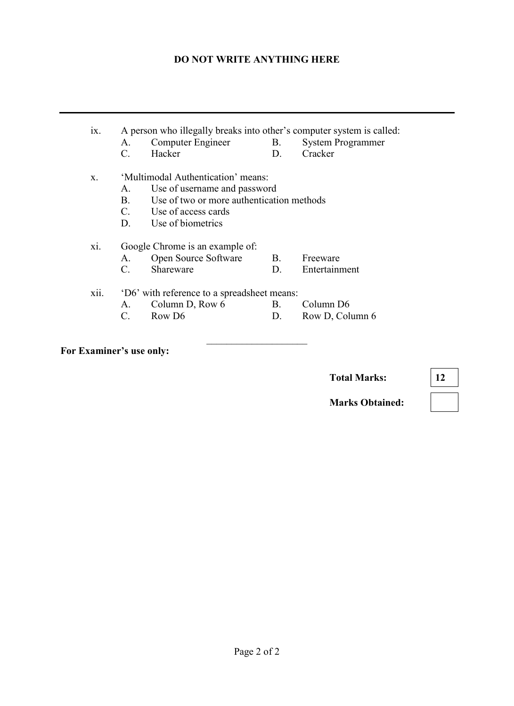#### **DO NOT WRITE ANYTHING HERE**

# ix. A person who illegally breaks into other's computer system is called:<br>A. Computer Engineer B. System Programmer A. Computer Engineer B.<br>C. Hacker D. C. Hacker D. Cracker x. 'Multimodal Authentication' means: A. Use of username and password<br>B. Use of two or more authenticati Use of two or more authentication methods C. Use of access cards<br>D. Use of biometrics Use of biometrics xi. Google Chrome is an example of: A. Open Source Software B. Freeware C. Shareware D. Entertainment xii. 'D6' with reference to a spreadsheet means: A. Column D, Row 6 B. Column D6 C. Row D6 D. Row D, Column 6

 $\overline{\phantom{a}}$  , and the set of the set of the set of the set of the set of the set of the set of the set of the set of the set of the set of the set of the set of the set of the set of the set of the set of the set of the s

**For Examiner's use only:**

**Total Marks: 12**

**Marks Obtained:**